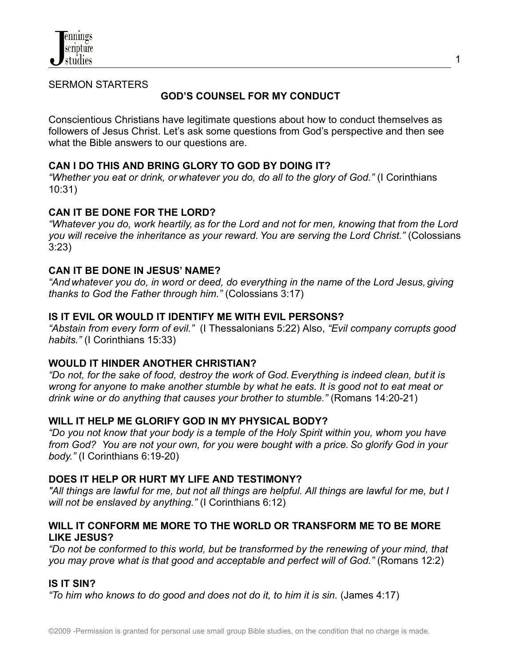

SERMON STARTERS

# **GOD'S COUNSEL FOR MY CONDUCT**

Conscientious Christians have legitimate questions about how to conduct themselves as followers of Jesus Christ. Let's ask some questions from God's perspective and then see what the Bible answers to our questions are.

## **CAN I DO THIS AND BRING GLORY TO GOD BY DOING IT?**

*"Whether you eat or drink, or whatever you do, do all to the glory of God."* (I Corinthians 10:31)

## **CAN IT BE DONE FOR THE LORD?**

*"Whatever you do, work heartily, as for the Lord and not for men, knowing that from the Lord you will receive the inheritance as your reward.You are serving the Lord Christ."* (Colossians 3:23)

## **CAN IT BE DONE IN JESUS' NAME?**

*"And whatever you do, in word or deed, do everything in the name of the Lord Jesus, giving thanks to God the Father through him."* (Colossians 3:17)

## **IS IT EVIL OR WOULD IT IDENTIFY ME WITH EVIL PERSONS?**

*"Abstain from every form of evil."* (I Thessalonians 5:22) Also, *"Evil company corrupts good habits."* (I Corinthians 15:33)

### **WOULD IT HINDER ANOTHER CHRISTIAN?**

*"Do not, for the sake of food, destroy the work of God.Everything is indeed clean, but it is wrong for anyone to make another stumble by what he eats. It is good not to eat meat or drink wine or do anything that causes your brother to stumble."* (Romans 14:20-21)

## **WILL IT HELP ME GLORIFY GOD IN MY PHYSICAL BODY?**

*"Do you not know that your body is a temple of the Holy Spirit within you, whom you have from God? You are not your own, for you were bought with a price.So glorify God in your body."* (I Corinthians 6:19-20)

### **DOES IT HELP OR HURT MY LIFE AND TESTIMONY?**

"All things are lawful for me, but not all things are helpful. All things are lawful for me, but I *will not be enslaved by anything."* (I Corinthians 6:12)

## **WILL IT CONFORM ME MORE TO THE WORLD OR TRANSFORM ME TO BE MORE LIKE JESUS?**

*"Do not be conformed to this world, but be transformed by the renewing of your mind, that you may prove what is that good and acceptable and perfect will of God."* (Romans 12:2)

### **IS IT SIN?**

*"To him who knows to do good and does not do it, to him it is sin.* (James 4:17)